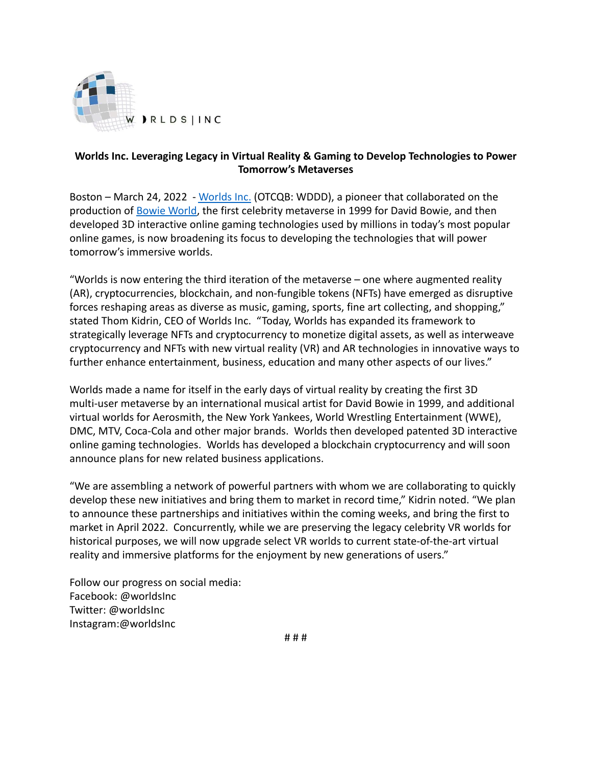

## **Worlds Inc. Leveraging Legacy in Virtual Reality & Gaming to Develop Technologies to Power Tomorrow's Metaverses**

Boston – March 24, 2022 - [Worlds Inc.](http://worlds.com/) (OTCQB: WDDD), a pioneer that collaborated on the production of [Bowie World,](http://www.bowieworlds.com/) the first celebrity metaverse in 1999 for David Bowie, and then developed 3D interactive online gaming technologies used by millions in today's most popular online games, is now broadening its focus to developing the technologies that will power tomorrow's immersive worlds.

"Worlds is now entering the third iteration of the metaverse – one where augmented reality (AR), cryptocurrencies, blockchain, and non-fungible tokens (NFTs) have emerged as disruptive forces reshaping areas as diverse as music, gaming, sports, fine art collecting, and shopping," stated Thom Kidrin, CEO of Worlds Inc. "Today, Worlds has expanded its framework to strategically leverage NFTs and cryptocurrency to monetize digital assets, as well as interweave cryptocurrency and NFTs with new virtual reality (VR) and AR technologies in innovative ways to further enhance entertainment, business, education and many other aspects of our lives."

Worlds made a name for itself in the early days of virtual reality by creating the first 3D multi-user metaverse by an international musical artist for David Bowie in 1999, and additional virtual worlds for Aerosmith, the New York Yankees, World Wrestling Entertainment (WWE), DMC, MTV, Coca-Cola and other major brands. Worlds then developed patented 3D interactive online gaming technologies. Worlds has developed a blockchain cryptocurrency and will soon announce plans for new related business applications.

"We are assembling a network of powerful partners with whom we are collaborating to quickly develop these new initiatives and bring them to market in record time," Kidrin noted. "We plan to announce these partnerships and initiatives within the coming weeks, and bring the first to market in April 2022. Concurrently, while we are preserving the legacy celebrity VR worlds for historical purposes, we will now upgrade select VR worlds to current state-of-the-art virtual reality and immersive platforms for the enjoyment by new generations of users."

Follow our progress on social media: Facebook: @worldsInc Twitter: @worldsInc Instagram:@worldsInc